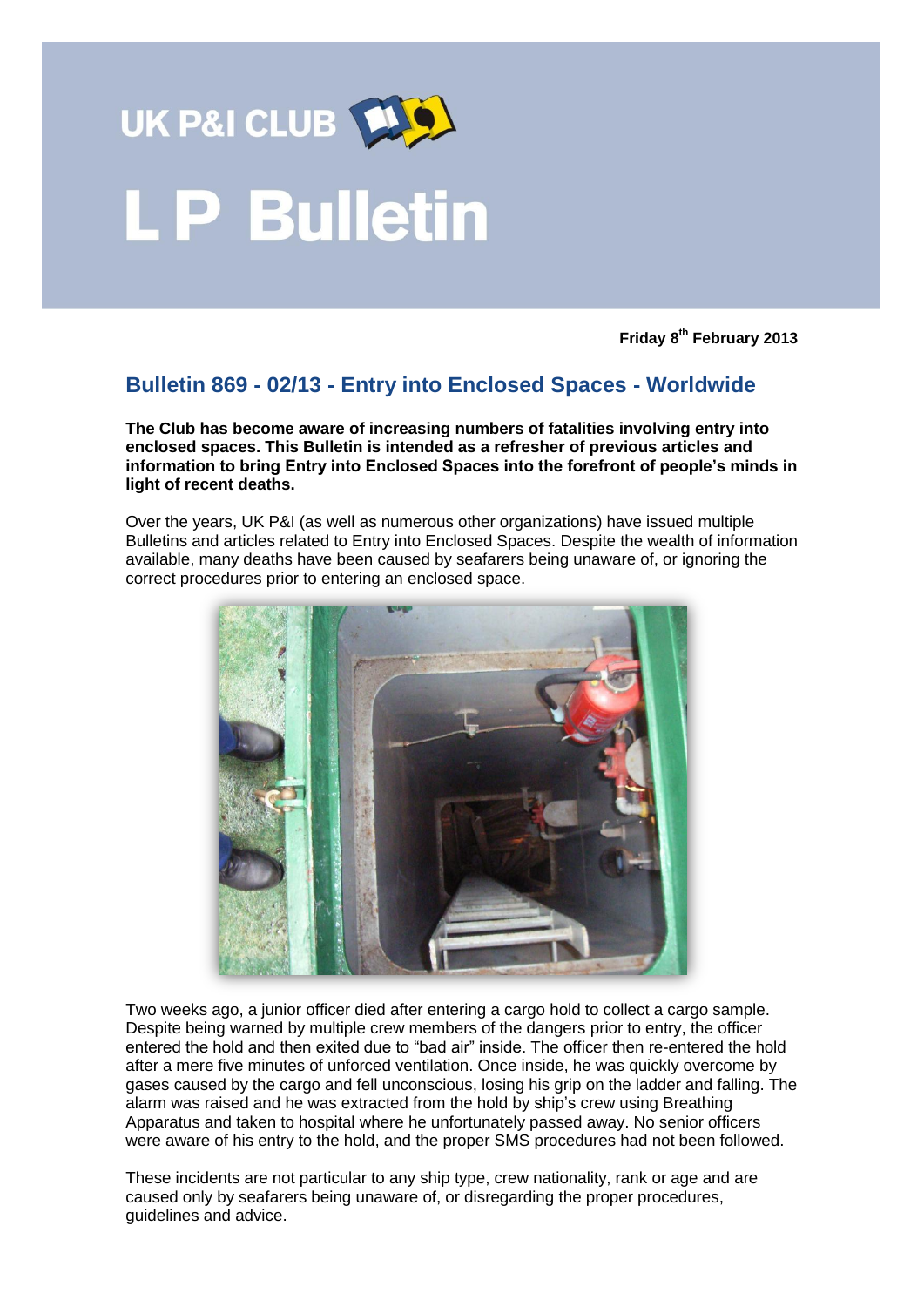

## **LP Bulletin**

**Friday 8 th February 2013**

## **Bulletin 869 - 02/13 - Entry into Enclosed Spaces - Worldwide**

**The Club has become aware of increasing numbers of fatalities involving entry into enclosed spaces. This Bulletin is intended as a refresher of previous articles and information to bring Entry into Enclosed Spaces into the forefront of people's minds in light of recent deaths.**

Over the years, UK P&I (as well as numerous other organizations) have issued multiple Bulletins and articles related to Entry into Enclosed Spaces. Despite the wealth of information available, many deaths have been caused by seafarers being unaware of, or ignoring the correct procedures prior to entering an enclosed space.



Two weeks ago, a junior officer died after entering a cargo hold to collect a cargo sample. Despite being warned by multiple crew members of the dangers prior to entry, the officer entered the hold and then exited due to "bad air" inside. The officer then re-entered the hold after a mere five minutes of unforced ventilation. Once inside, he was quickly overcome by gases caused by the cargo and fell unconscious, losing his grip on the ladder and falling. The alarm was raised and he was extracted from the hold by ship's crew using Breathing Apparatus and taken to hospital where he unfortunately passed away. No senior officers were aware of his entry to the hold, and the proper SMS procedures had not been followed.

These incidents are not particular to any ship type, crew nationality, rank or age and are caused only by seafarers being unaware of, or disregarding the proper procedures, guidelines and advice.